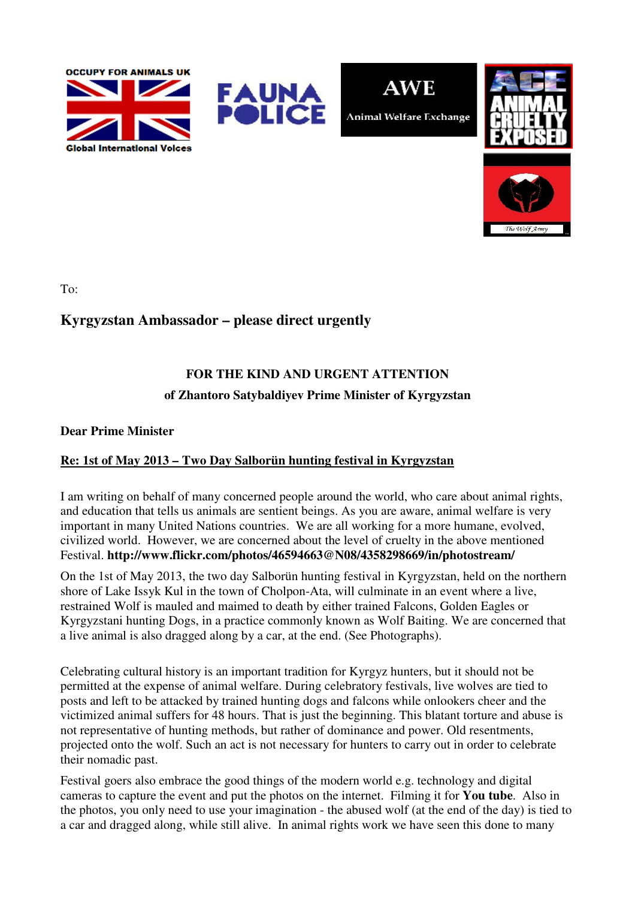









To:

## **Kyrgyzstan Ambassador – please direct urgently**

## **FOR THE KIND AND URGENT ATTENTION of Zhantoro Satybaldiyev Prime Minister of Kyrgyzstan**

#### **Dear Prime Minister**

### **Re: 1st of May 2013 – Two Day Salborün hunting festival in Kyrgyzstan**

I am writing on behalf of many concerned people around the world, who care about animal rights, and education that tells us animals are sentient beings. As you are aware, animal welfare is very important in many United Nations countries. We are all working for a more humane, evolved, civilized world. However, we are concerned about the level of cruelty in the above mentioned Festival. **http://www.flickr.com/photos/46594663@N08/4358298669/in/photostream/** 

On the 1st of May 2013, the two day Salborün hunting festival in Kyrgyzstan, held on the northern shore of Lake Issyk Kul in the town of Cholpon-Ata, will culminate in an event where a live, restrained Wolf is mauled and maimed to death by either trained Falcons, Golden Eagles or Kyrgyzstani hunting Dogs, in a practice commonly known as Wolf Baiting. We are concerned that a live animal is also dragged along by a car, at the end. (See Photographs).

Celebrating cultural history is an important tradition for Kyrgyz hunters, but it should not be permitted at the expense of animal welfare. During celebratory festivals, live wolves are tied to posts and left to be attacked by trained hunting dogs and falcons while onlookers cheer and the victimized animal suffers for 48 hours. That is just the beginning. This blatant torture and abuse is not representative of hunting methods, but rather of dominance and power. Old resentments, projected onto the wolf. Such an act is not necessary for hunters to carry out in order to celebrate their nomadic past.

Festival goers also embrace the good things of the modern world e.g. technology and digital cameras to capture the event and put the photos on the internet. Filming it for **You tube**. Also in the photos, you only need to use your imagination - the abused wolf (at the end of the day) is tied to a car and dragged along, while still alive. In animal rights work we have seen this done to many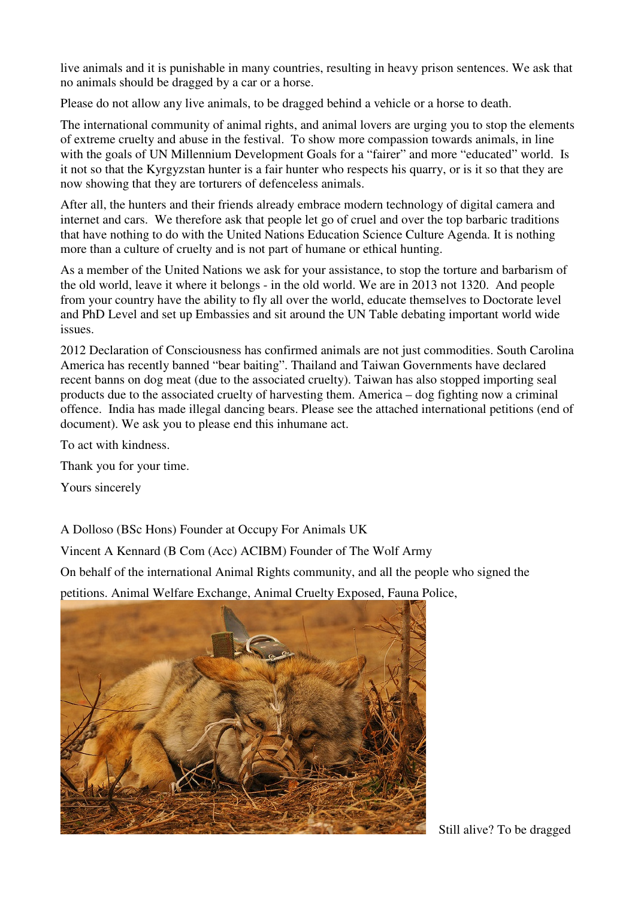live animals and it is punishable in many countries, resulting in heavy prison sentences. We ask that no animals should be dragged by a car or a horse.

Please do not allow any live animals, to be dragged behind a vehicle or a horse to death.

The international community of animal rights, and animal lovers are urging you to stop the elements of extreme cruelty and abuse in the festival. To show more compassion towards animals, in line with the goals of UN Millennium Development Goals for a "fairer" and more "educated" world. Is it not so that the Kyrgyzstan hunter is a fair hunter who respects his quarry, or is it so that they are now showing that they are torturers of defenceless animals.

After all, the hunters and their friends already embrace modern technology of digital camera and internet and cars. We therefore ask that people let go of cruel and over the top barbaric traditions that have nothing to do with the United Nations Education Science Culture Agenda. It is nothing more than a culture of cruelty and is not part of humane or ethical hunting.

As a member of the United Nations we ask for your assistance, to stop the torture and barbarism of the old world, leave it where it belongs - in the old world. We are in 2013 not 1320. And people from your country have the ability to fly all over the world, educate themselves to Doctorate level and PhD Level and set up Embassies and sit around the UN Table debating important world wide issues.

2012 Declaration of Consciousness has confirmed animals are not just commodities. South Carolina America has recently banned "bear baiting". Thailand and Taiwan Governments have declared recent banns on dog meat (due to the associated cruelty). Taiwan has also stopped importing seal products due to the associated cruelty of harvesting them. America – dog fighting now a criminal offence. India has made illegal dancing bears. Please see the attached international petitions (end of document). We ask you to please end this inhumane act.

To act with kindness.

Thank you for your time.

Yours sincerely

A Dolloso (BSc Hons) Founder at Occupy For Animals UK

Vincent A Kennard (B Com (Acc) ACIBM) Founder of The Wolf Army

On behalf of the international Animal Rights community, and all the people who signed the

petitions. Animal Welfare Exchange, Animal Cruelty Exposed, Fauna Police,



Still alive? To be dragged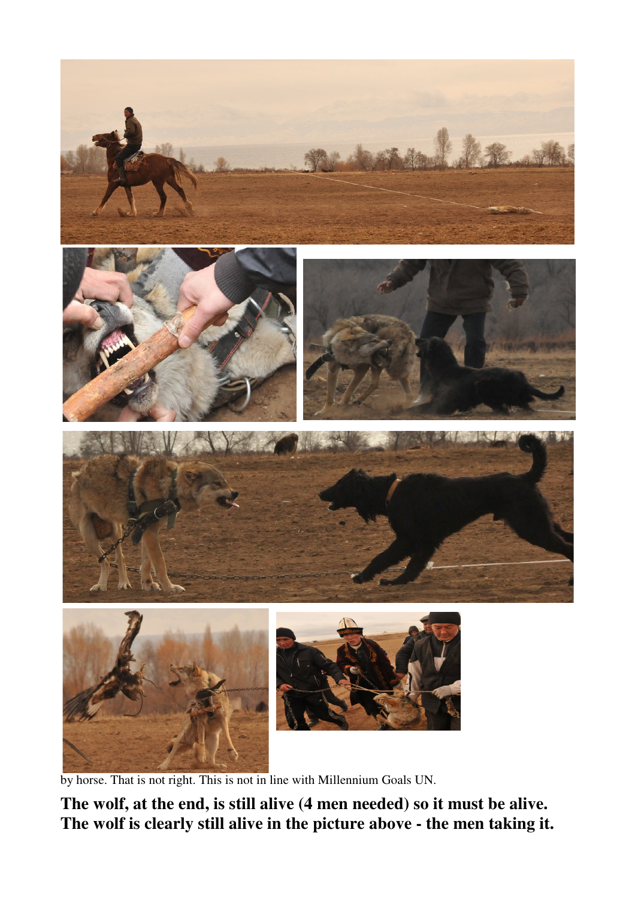

by horse. That is not right. This is not in line with Millennium Goals UN.

**The wolf, at the end, is still alive (4 men needed) so it must be alive. The wolf is clearly still alive in the picture above - the men taking it.**